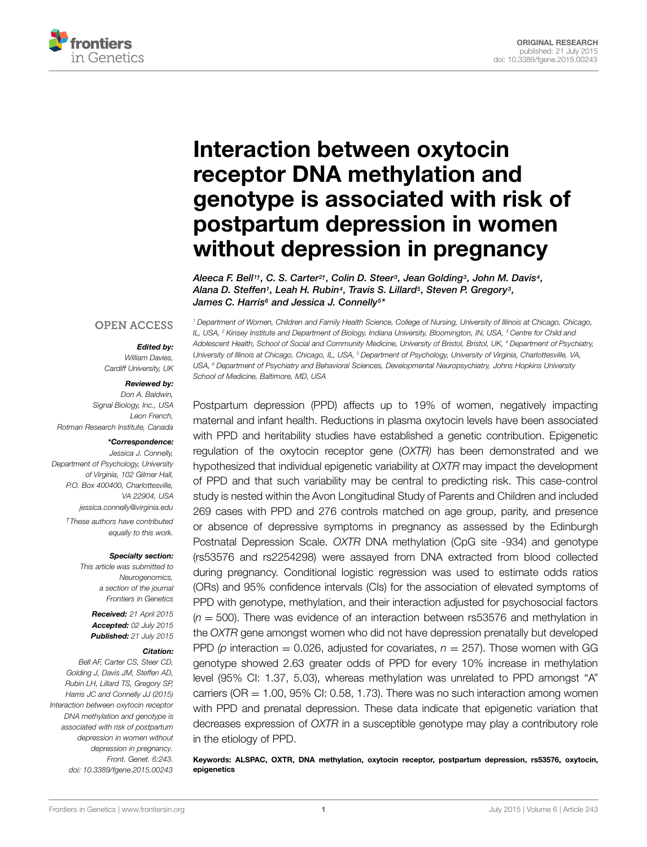

# Interaction between oxytocin receptor DNA methylation and [genotype is associated with risk of](http://journal.frontiersin.org/article/10.3389/fgene.2015.00243/abstract) postpartum depression in women without depression in pregnancy

*[Aleeca F. Bell1](http://loop.frontiersin.org/people/240190)†, [C. S. Carter2](http://loop.frontiersin.org/people/94367)†, Colin D. Steer3, [Jean Golding3](http://loop.frontiersin.org/people/123652), [John M. Davis4](http://loop.frontiersin.org/people/68002), [Alana D. Steffen1](http://loop.frontiersin.org/people/240978), [Leah H. Rubin4](http://loop.frontiersin.org/people/123735), Travis S. Lillard5, [Steven P. Gregory3](http://loop.frontiersin.org/people/255182), [James C. Harris6](http://loop.frontiersin.org/people/123786) and [Jessica J. Connelly5](http://loop.frontiersin.org/people/29429)\**

#### **OPEN ACCESS**

#### *Edited by:*

*William Davies, Cardiff University, UK*

#### *Reviewed by:*

*Don A. Baldwin, Signal Biology, Inc., USA Leon French, Rotman Research Institute, Canada*

#### *\*Correspondence:*

*Jessica J. Connelly, Department of Psychology, University of Virginia, 102 Gilmer Hall, P.O. Box 400400, Charlottesville, VA 22904, USA jessica.connelly@virginia.edu*

> *†These authors have contributed equally to this work.*

#### *Specialty section:*

*This article was submitted to Neurogenomics, a section of the journal Frontiers in Genetics*

> *Received: 21 April 2015 Accepted: 02 July 2015 Published: 21 July 2015*

#### *Citation:*

*Bell AF, Carter CS, Steer CD, Golding J, Davis JM, Steffen AD, Rubin LH, Lillard TS, Gregory SP, Harris JC and Connelly JJ (2015) Interaction between oxytocin receptor DNA methylation and genotype is associated with risk of postpartum depression in women without depression in pregnancy. Front. Genet. 6:243. doi: [10.3389/fgene.2015.00243](http://dx.doi.org/10.3389/fgene.2015.00243)*

*<sup>1</sup> Department of Women, Children and Family Health Science, College of Nursing, University of Illinois at Chicago, Chicago, IL, USA, <sup>2</sup> Kinsey Institute and Department of Biology, Indiana University, Bloomington, IN, USA, <sup>3</sup> Centre for Child and Adolescent Health, School of Social and Community Medicine, University of Bristol, Bristol, UK, <sup>4</sup> Department of Psychiatry, University of Illinois at Chicago, Chicago, IL, USA, <sup>5</sup> Department of Psychology, University of Virginia, Charlottesville, VA, USA, <sup>6</sup> Department of Psychiatry and Behavioral Sciences, Developmental Neuropsychiatry, Johns Hopkins University School of Medicine, Baltimore, MD, USA*

Postpartum depression (PPD) affects up to 19% of women, negatively impacting maternal and infant health. Reductions in plasma oxytocin levels have been associated with PPD and heritability studies have established a genetic contribution. Epigenetic regulation of the oxytocin receptor gene (*OXTR)* has been demonstrated and we hypothesized that individual epigenetic variability at *OXTR* may impact the development of PPD and that such variability may be central to predicting risk. This case-control study is nested within the Avon Longitudinal Study of Parents and Children and included 269 cases with PPD and 276 controls matched on age group, parity, and presence or absence of depressive symptoms in pregnancy as assessed by the Edinburgh Postnatal Depression Scale. *OXTR* DNA methylation (CpG site -934) and genotype (rs53576 and rs2254298) were assayed from DNA extracted from blood collected during pregnancy. Conditional logistic regression was used to estimate odds ratios (ORs) and 95% confidence intervals (CIs) for the association of elevated symptoms of PPD with genotype, methylation, and their interaction adjusted for psychosocial factors (*n* = 500). There was evidence of an interaction between rs53576 and methylation in the *OXTR* gene amongst women who did not have depression prenatally but developed PPD ( $p$  interaction = 0.026, adjusted for covariates,  $n = 257$ ). Those women with GG genotype showed 2.63 greater odds of PPD for every 10% increase in methylation level (95% CI: 1.37, 5.03), whereas methylation was unrelated to PPD amongst "A" carriers ( $OR = 1.00$ ,  $95\%$  CI: 0.58, 1.73). There was no such interaction among women with PPD and prenatal depression. These data indicate that epigenetic variation that decreases expression of *OXTR* in a susceptible genotype may play a contributory role in the etiology of PPD.

Keywords: ALSPAC, OXTR, DNA methylation, oxytocin receptor, postpartum depression, rs53576, oxytocin, epigenetics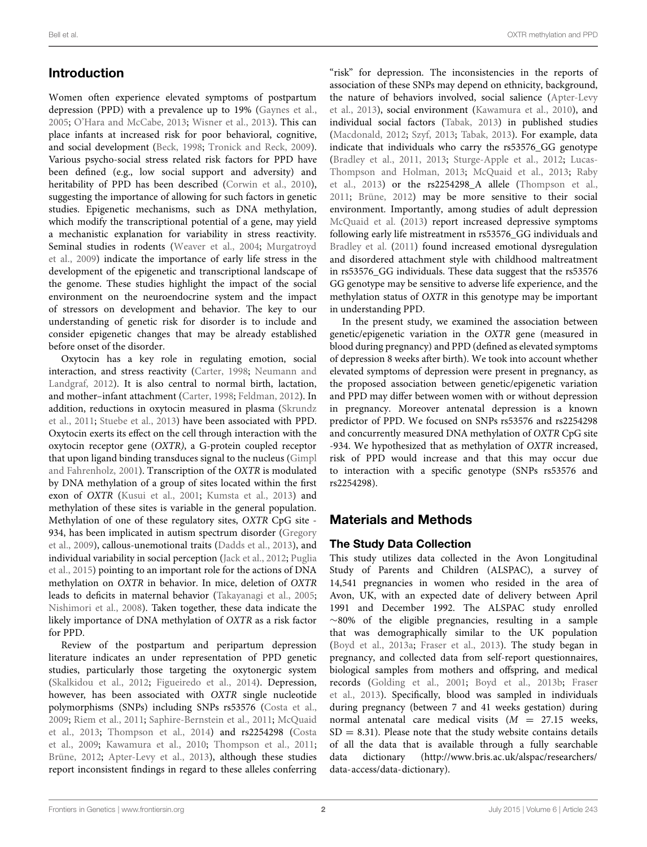Women often experience elevated symptoms of postpartum depression (PPD) with a prevalence up to 19% [\(Gaynes et al.](#page-8-0), [2005](#page-8-0); [O'Hara and McCabe](#page-8-1), [2013;](#page-8-1) [Wisner et al.](#page-9-0), [2013\)](#page-9-0). This can place infants at increased risk for poor behavioral, cognitive, and social development [\(Beck](#page-7-0), [1998](#page-7-0); [Tronick and Reck](#page-9-1), [2009](#page-9-1)). Various psycho-social stress related risk factors for PPD have been defined (e.g., low social support and adversity) and heritability of PPD has been described [\(Corwin et al.](#page-7-1), [2010](#page-7-1)), suggesting the importance of allowing for such factors in genetic studies. Epigenetic mechanisms, such as DNA methylation, which modify the transcriptional potential of a gene, may yield a mechanistic explanation for variability in stress reactivity. Semi[nal](#page-8-2) [studies](#page-8-2) [in](#page-8-2) [rodents](#page-8-2) [\(Weaver et al.](#page-9-2)[,](#page-8-2) [2004;](#page-9-2) Murgatroyd et al., [2009\)](#page-8-2) indicate the importance of early life stress in the development of the epigenetic and transcriptional landscape of the genome. These studies highlight the impact of the social environment on the neuroendocrine system and the impact of stressors on development and behavior. The key to our understanding of genetic risk for disorder is to include and consider epigenetic changes that may be already established before onset of the disorder.

Oxytocin has a key role in regulating emotion, social interacti[on, and stress reactivity](#page-8-3) [\(Carter](#page-7-2)[,](#page-8-3) [1998](#page-7-2)[;](#page-8-3) Neumann and Landgraf, [2012](#page-8-3)). It is also central to normal birth, lactation, and mother–infant attachment [\(Carter](#page-7-2), [1998;](#page-7-2) [Feldman, 2012\)](#page-7-3). In addition, reductions in oxytocin measured in plasma (Skrundz et al., [2011;](#page-8-4) [Stuebe et al., 2013](#page-8-5)) have been associated with PPD. Oxytocin exerts its effect on the cell through interaction with the oxytocin receptor gene (*OXTR)*, a G-protein coupled receptor that upon ligan[d binding transduces signal to the nucleus \(](#page-8-6)Gimpl and Fahrenholz, [2001\)](#page-8-6). Transcription of the *OXTR* is modulated by DNA methylation of a group of sites located within the first exon of *OXTR* [\(Kusui et al., 2001;](#page-8-7) [Kumsta et al., 2013](#page-8-8)) and methylation of these sites is variable in the general population. Methylation of one of these regulatory sites, *OXTR* CpG site - 934, [has been implicated in autism spectrum disorder \(](#page-8-9)Gregory et al., [2009](#page-8-9)), callous-unemotional traits [\(Dadds et al.](#page-7-4), [2013](#page-7-4)), and indi[vidual variability in social perception](#page-8-11) [\(Jack et al.](#page-8-10)[,](#page-8-11) [2012](#page-8-10)[;](#page-8-11) Puglia et al., [2015](#page-8-11)) pointing to an important role for the actions of DNA methylation on *OXTR* in behavior. In mice, deletion of *OXTR* leads to deficits in maternal behavior [\(Takayanagi et al.](#page-8-12), [2005](#page-8-12); [Nishimori et al., 2008\)](#page-8-13). Taken together, these data indicate the likely importance of DNA methylation of *OXTR* as a risk factor for PPD.

Review of the postpartum and peripartum depression literature indicates an under representation of PPD genetic studies, particularly those targeting the oxytonergic system [\(Skalkidou et al., 2012;](#page-8-14) [Figueiredo et al., 2014\)](#page-8-15). Depression, however, has been associated with *OXTR* single nucleotide polymorphisms (SNPs) including SNPs rs53576 [\(Costa et al.](#page-7-5), [2009](#page-7-5); [Riem et al.](#page-8-16), [2011](#page-8-16); [Saphire-Bernstein et al.](#page-8-17)[,](#page-8-18) [2011;](#page-8-17) McQuaid et al., [2013;](#page-8-18) [Thompson et al.](#page-8-19)[,](#page-7-5) [2014](#page-8-19)[\) and rs2254298 \(](#page-7-5)Costa et al., [2009](#page-7-5); [Kawamura et al., 2010;](#page-8-20) [Thompson et al.](#page-8-21), [2011](#page-8-21); [Brüne](#page-7-6), [2012](#page-7-6); [Apter-Levy et al., 2013](#page-7-7)), although these studies report inconsistent findings in regard to these alleles conferring

"risk" for depression. The inconsistencies in the reports of association of these SNPs may depend on ethnicity, background, the [nature of behaviors involved, social salience \(](#page-7-7)Apter-Levy et al., [2013\)](#page-7-7), social environment [\(Kawamura et al., 2010\)](#page-8-20), and individual social factors [\(Tabak](#page-8-22), [2013\)](#page-8-22) in published studies [\(Macdonald, 2012;](#page-8-23) [Szyf, 2013;](#page-8-24) [Tabak](#page-8-22), [2013\)](#page-8-22). For example, data indicate that individuals who carry the rs53576\_GG genotype [\(Bradley et al., 2011,](#page-7-8) [2013;](#page-7-9) [Sturge-Apple et al.](#page-8-25)[,](#page-8-26) [2012](#page-8-25)[;](#page-8-26) Lucas-Tho[mpson and Holman,](#page-8-27) [2013](#page-8-26)[;](#page-8-27) [McQuaid et al., 2013](#page-8-18); Raby et al., [2013\)](#page-8-27) or the rs2254298\_A allele [\(Thompson et al.](#page-8-21), [2011;](#page-8-21) [Brüne](#page-7-6), [2012\)](#page-7-6) may be more sensitive to their social environment. Importantly, among studies of adult depression [McQuaid et al.](#page-8-18) [\(2013](#page-8-18)) report increased depressive symptoms following early life mistreatment in rs53576\_GG individuals and [Bradley et al.](#page-7-8) [\(2011](#page-7-8)) found increased emotional dysregulation and disordered attachment style with childhood maltreatment in rs53576\_GG individuals. These data suggest that the rs53576 GG genotype may be sensitive to adverse life experience, and the methylation status of *OXTR* in this genotype may be important in understanding PPD.

In the present study, we examined the association between genetic/epigenetic variation in the *OXTR* gene (measured in blood during pregnancy) and PPD (defined as elevated symptoms of depression 8 weeks after birth). We took into account whether elevated symptoms of depression were present in pregnancy, as the proposed association between genetic/epigenetic variation and PPD may differ between women with or without depression in pregnancy. Moreover antenatal depression is a known predictor of PPD. We focused on SNPs rs53576 and rs2254298 and concurrently measured DNA methylation of *OXTR* CpG site -934. We hypothesized that as methylation of *OXTR* increased, risk of PPD would increase and that this may occur due to interaction with a specific genotype (SNPs rs53576 and rs2254298).

# Materials and Methods

## The Study Data Collection

This study utilizes data collected in the Avon Longitudinal Study of Parents and Children (ALSPAC), a survey of 14,541 pregnancies in women who resided in the area of Avon, UK, with an expected date of delivery between April 1991 and December 1992. The ALSPAC study enrolled ∼80% of the eligible pregnancies, resulting in a sample that was demographically similar to the UK population [\(Boyd et al.](#page-7-10), [2013a](#page-7-10); [Fraser et al., 2013](#page-8-28)). The study began in pregnancy, and collected data from self-report questionnaires, biological samples from mothers and offspring, and medical recor[ds](#page-8-28) [\(Golding et al.](#page-8-29)[,](#page-8-28) [2001](#page-8-29)[;](#page-8-28) [Boyd et al.](#page-7-11), [2013b;](#page-7-11) Fraser et al., [2013](#page-8-28)). Specifically, blood was sampled in individuals during pregnancy (between 7 and 41 weeks gestation) during normal antenatal care medical visits (*M* = 27.15 weeks,  $SD = 8.31$ ). Please note that the study website contains details of all the data that is available through a fully searchable data dictionary (http://www*.*bris*.*ac*.*[uk/alspac/researchers/](http://www.bris.ac.uk/alspac/researchers/data-access/data-dictionary) [data-access/data-dictionary\)](http://www.bris.ac.uk/alspac/researchers/data-access/data-dictionary).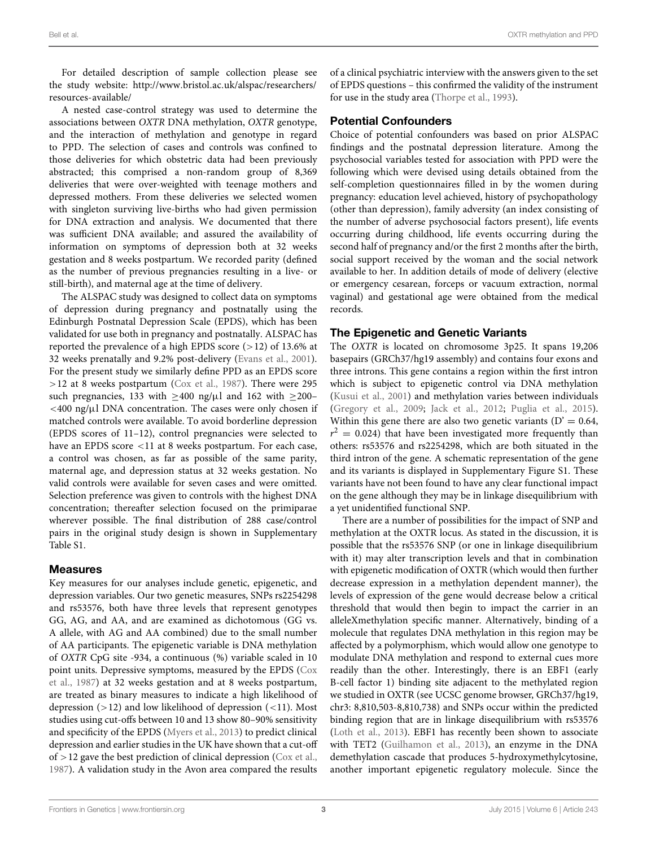For detailed description of sample collection please see the study website: http://www*.*bristol*.*ac*.*[uk/alspac/researchers/](http://www.bristol.ac.uk/alspac/researchers/resources-available/) [resources-available/](http://www.bristol.ac.uk/alspac/researchers/resources-available/)

A nested case-control strategy was used to determine the associations between *OXTR* DNA methylation, *OXTR* genotype, and the interaction of methylation and genotype in regard to PPD. The selection of cases and controls was confined to those deliveries for which obstetric data had been previously abstracted; this comprised a non-random group of 8,369 deliveries that were over-weighted with teenage mothers and depressed mothers. From these deliveries we selected women with singleton surviving live-births who had given permission for DNA extraction and analysis. We documented that there was sufficient DNA available; and assured the availability of information on symptoms of depression both at 32 weeks gestation and 8 weeks postpartum. We recorded parity (defined as the number of previous pregnancies resulting in a live- or still-birth), and maternal age at the time of delivery.

The ALSPAC study was designed to collect data on symptoms of depression during pregnancy and postnatally using the Edinburgh Postnatal Depression Scale (EPDS), which has been validated for use both in pregnancy and postnatally. ALSPAC has reported the prevalence of a high EPDS score (*>*12) of 13.6% at 32 weeks prenatally and 9.2% post-delivery [\(Evans et al.](#page-7-12), [2001](#page-7-12)). For the present study we similarly define PPD as an EPDS score *>*12 at 8 weeks postpartum [\(Cox et al.](#page-7-13), [1987](#page-7-13)). There were 295 such pregnancies, 133 with  $\geq 400$  ng/ $\mu$ l and 162 with  $\geq 200$ -*<*400 ng/μl DNA concentration. The cases were only chosen if matched controls were available. To avoid borderline depression (EPDS scores of 11–12), control pregnancies were selected to have an EPDS score *<*11 at 8 weeks postpartum. For each case, a control was chosen, as far as possible of the same parity, maternal age, and depression status at 32 weeks gestation. No valid controls were available for seven cases and were omitted. Selection preference was given to controls with the highest DNA concentration; thereafter selection focused on the primiparae wherever possible. The final distribution of 288 case/control pairs in the original study design is shown in Supplementary Table S1.

#### Measures

Key measures for our analyses include genetic, epigenetic, and depression variables. Our two genetic measures, SNPs rs2254298 and rs53576, both have three levels that represent genotypes GG, AG, and AA, and are examined as dichotomous (GG vs. A allele, with AG and AA combined) due to the small number of AA participants. The epigenetic variable is DNA methylation of *OXTR* CpG site -934, a continuous (%) variable scaled in 10 poin[t units. Depressive symptoms, measured by the EPDS \(](#page-7-13)Cox et al., [1987](#page-7-13)) at 32 weeks gestation and at 8 weeks postpartum, are treated as binary measures to indicate a high likelihood of depression (*>*12) and low likelihood of depression (*<*11). Most studies using cut-offs between 10 and 13 show 80–90% sensitivity and specificity of the EPDS [\(Myers et al., 2013\)](#page-8-30) to predict clinical depression and earlier studies in the UK have shown that a cut-off of *>*12 gave the best prediction of clinical depression [\(Cox et al.,](#page-7-13) [1987](#page-7-13)). A validation study in the Avon area compared the results

of a clinical psychiatric interview with the answers given to the set of EPDS questions – this confirmed the validity of the instrument for use in the study area [\(Thorpe et al., 1993](#page-9-3)).

#### Potential Confounders

Choice of potential confounders was based on prior ALSPAC findings and the postnatal depression literature. Among the psychosocial variables tested for association with PPD were the following which were devised using details obtained from the self-completion questionnaires filled in by the women during pregnancy: education level achieved, history of psychopathology (other than depression), family adversity (an index consisting of the number of adverse psychosocial factors present), life events occurring during childhood, life events occurring during the second half of pregnancy and/or the first 2 months after the birth, social support received by the woman and the social network available to her. In addition details of mode of delivery (elective or emergency cesarean, forceps or vacuum extraction, normal vaginal) and gestational age were obtained from the medical records.

#### The Epigenetic and Genetic Variants

The *OXTR* is located on chromosome 3p25. It spans 19,206 basepairs (GRCh37/hg19 assembly) and contains four exons and three introns. This gene contains a region within the first intron which is subject to epigenetic control via DNA methylation [\(Kusui et al., 2001](#page-8-7)) and methylation varies between individuals [\(Gregory et al.](#page-8-9), [2009;](#page-8-9) [Jack et al., 2012](#page-8-10); [Puglia et al., 2015](#page-8-11)). Within this gene there are also two genetic variants  $(D' = 0.64,$  $r^2$  = 0.024) that have been investigated more frequently than others: rs53576 and rs2254298, which are both situated in the third intron of the gene. A schematic representation of the gene and its variants is displayed in Supplementary Figure S1. These variants have not been found to have any clear functional impact on the gene although they may be in linkage disequilibrium with a yet unidentified functional SNP.

There are a number of possibilities for the impact of SNP and methylation at the OXTR locus. As stated in the discussion, it is possible that the rs53576 SNP (or one in linkage disequilibrium with it) may alter transcription levels and that in combination with epigenetic modification of OXTR (which would then further decrease expression in a methylation dependent manner), the levels of expression of the gene would decrease below a critical threshold that would then begin to impact the carrier in an alleleXmethylation specific manner. Alternatively, binding of a molecule that regulates DNA methylation in this region may be affected by a polymorphism, which would allow one genotype to modulate DNA methylation and respond to external cues more readily than the other. Interestingly, there is an EBF1 (early B-cell factor 1) binding site adjacent to the methylated region we studied in OXTR (see UCSC genome browser, GRCh37/hg19, chr3: 8,810,503-8,810,738) and SNPs occur within the predicted binding region that are in linkage disequilibrium with rs53576 [\(Loth et al., 2013\)](#page-8-31). EBF1 has recently been shown to associate with TET2 [\(Guilhamon et al., 2013](#page-8-32)), an enzyme in the DNA demethylation cascade that produces 5-hydroxymethylcytosine, another important epigenetic regulatory molecule. Since the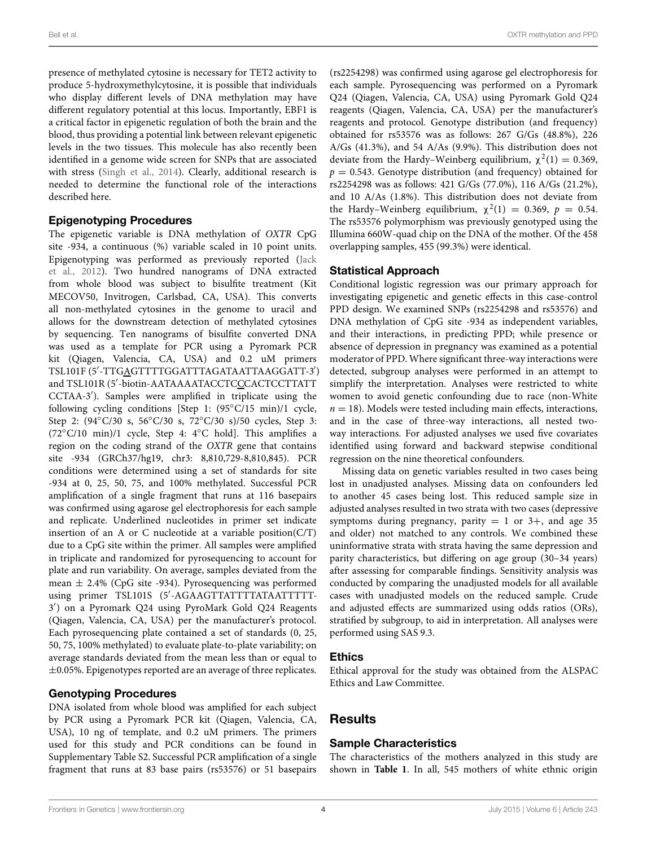presence of methylated cytosine is necessary for TET2 activity to produce 5-hydroxymethylcytosine, it is possible that individuals who display different levels of DNA methylation may have different regulatory potential at this locus. Importantly, EBF1 is a critical factor in epigenetic regulation of both the brain and the blood, thus providing a potential link between relevant epigenetic levels in the two tissues. This molecule has also recently been identified in a genome wide screen for SNPs that are associated with stress [\(Singh et al., 2014](#page-8-33)). Clearly, additional research is needed to determine the functional role of the interactions described here.

#### Epigenotyping Procedures

The epigenetic variable is DNA methylation of *OXTR* CpG site -934, a continuous (%) variable scaled in 10 point units. Epige[notyping was performed as previously reported \(](#page-8-10)Jack et al., [2012](#page-8-10)). Two hundred nanograms of DNA extracted from whole blood was subject to bisulfite treatment (Kit MECOV50, Invitrogen, Carlsbad, CA, USA). This converts all non-methylated cytosines in the genome to uracil and allows for the downstream detection of methylated cytosines by sequencing. Ten nanograms of bisulfite converted DNA was used as a template for PCR using a Pyromark PCR kit (Qiagen, Valencia, CA, USA) and 0.2 uM primers TSL101F (5′-TTG<u>A</u>GTTTTGGATTTAGATAATTAAGGATT-3′) and TSL101R (5'-biotin-AATAAAATACCTC<u>C</u>CACTCCTTATT CCTAA-3 ). Samples were amplified in triplicate using the following cycling conditions [Step 1: (95°C/15 min)/1 cycle, Step 2: (94◦C/30 s, 56◦C/30 s, 72◦C/30 s)/50 cycles, Step 3: (72◦C/10 min)/1 cycle, Step 4: 4◦C hold]. This amplifies a region on the coding strand of the *OXTR* gene that contains site -934 (GRCh37/hg19, chr3: 8,810,729-8,810,845). PCR conditions were determined using a set of standards for site -934 at 0, 25, 50, 75, and 100% methylated. Successful PCR amplification of a single fragment that runs at 116 basepairs was confirmed using agarose gel electrophoresis for each sample and replicate. Underlined nucleotides in primer set indicate insertion of an A or C nucleotide at a variable position( $C/T$ ) due to a CpG site within the primer. All samples were amplified in triplicate and randomized for pyrosequencing to account for plate and run variability. On average, samples deviated from the mean ± 2.4% (CpG site -934). Pyrosequencing was performed using primer TSL101S (5 -AGAAGTTATTTTATAATTTTT-3 ) on a Pyromark Q24 using PyroMark Gold Q24 Reagents (Qiagen, Valencia, CA, USA) per the manufacturer's protocol. Each pyrosequencing plate contained a set of standards (0, 25, 50, 75, 100% methylated) to evaluate plate-to-plate variability; on average standards deviated from the mean less than or equal to  $\pm 0.05$ %. Epigenotypes reported are an average of three replicates.

## Genotyping Procedures

DNA isolated from whole blood was amplified for each subject by PCR using a Pyromark PCR kit (Qiagen, Valencia, CA, USA), 10 ng of template, and 0.2 uM primers. The primers used for this study and PCR conditions can be found in Supplementary Table S2. Successful PCR amplification of a single fragment that runs at 83 base pairs (rs53576) or 51 basepairs

(rs2254298) was confirmed using agarose gel electrophoresis for each sample. Pyrosequencing was performed on a Pyromark Q24 (Qiagen, Valencia, CA, USA) using Pyromark Gold Q24 reagents (Qiagen, Valencia, CA, USA) per the manufacturer's reagents and protocol. Genotype distribution (and frequency) obtained for rs53576 was as follows: 267 G/Gs (48.8%), 226 A/Gs (41.3%), and 54 A/As (9.9%). This distribution does not deviate from the Hardy–Weinberg equilibrium,  $\chi^2(1) = 0.369$ ,  $p = 0.543$ . Genotype distribution (and frequency) obtained for rs2254298 was as follows: 421 G/Gs (77.0%), 116 A/Gs (21.2%), and 10 A/As (1.8%). This distribution does not deviate from the Hardy–Weinberg equilibrium,  $\chi^2(1) = 0.369$ ,  $p = 0.54$ . The rs53576 polymorphism was previously genotyped using the Illumina 660W-quad chip on the DNA of the mother. Of the 458 overlapping samples, 455 (99.3%) were identical.

#### Statistical Approach

Conditional logistic regression was our primary approach for investigating epigenetic and genetic effects in this case-control PPD design. We examined SNPs (rs2254298 and rs53576) and DNA methylation of CpG site -934 as independent variables, and their interactions, in predicting PPD; while presence or absence of depression in pregnancy was examined as a potential moderator of PPD. Where significant three-way interactions were detected, subgroup analyses were performed in an attempt to simplify the interpretation. Analyses were restricted to white women to avoid genetic confounding due to race (non-White  $n = 18$ ). Models were tested including main effects, interactions, and in the case of three-way interactions, all nested twoway interactions. For adjusted analyses we used five covariates identified using forward and backward stepwise conditional regression on the nine theoretical confounders.

Missing data on genetic variables resulted in two cases being lost in unadjusted analyses. Missing data on confounders led to another 45 cases being lost. This reduced sample size in adjusted analyses resulted in two strata with two cases (depressive symptoms during pregnancy, parity  $= 1$  or 3+, and age 35 and older) not matched to any controls. We combined these uninformative strata with strata having the same depression and parity characteristics, but differing on age group (30–34 years) after assessing for comparable findings. Sensitivity analysis was conducted by comparing the unadjusted models for all available cases with unadjusted models on the reduced sample. Crude and adjusted effects are summarized using odds ratios (ORs), stratified by subgroup, to aid in interpretation. All analyses were performed using SAS 9.3.

#### Ethics

Ethical approval for the study was obtained from the ALSPAC Ethics and Law Committee.

# Results

#### Sample Characteristics

The characteristics of the mothers analyzed in this study are shown in **[Table 1](#page-5-0)**. In all, 545 mothers of white ethnic origin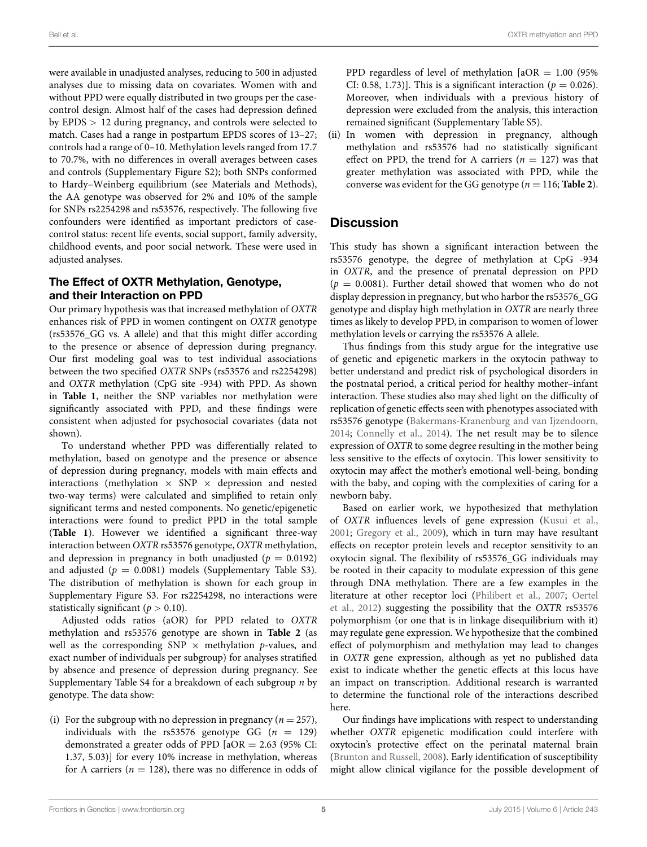were available in unadjusted analyses, reducing to 500 in adjusted analyses due to missing data on covariates. Women with and without PPD were equally distributed in two groups per the casecontrol design. Almost half of the cases had depression defined by EPDS *>* 12 during pregnancy, and controls were selected to match. Cases had a range in postpartum EPDS scores of 13–27; controls had a range of 0–10. Methylation levels ranged from 17.7 to 70.7%, with no differences in overall averages between cases and controls (Supplementary Figure S2); both SNPs conformed to Hardy–Weinberg equilibrium (see Materials and Methods), the AA genotype was observed for 2% and 10% of the sample for SNPs rs2254298 and rs53576, respectively. The following five confounders were identified as important predictors of casecontrol status: recent life events, social support, family adversity, childhood events, and poor social network. These were used in adjusted analyses.

## The Effect of OXTR Methylation, Genotype, and their Interaction on PPD

Our primary hypothesis was that increased methylation of *OXTR* enhances risk of PPD in women contingent on *OXTR* genotype (rs53576\_GG vs. A allele) and that this might differ according to the presence or absence of depression during pregnancy. Our first modeling goal was to test individual associations between the two specified *OXTR* SNPs (rs53576 and rs2254298) and *OXTR* methylation (CpG site -934) with PPD. As shown in **[Table 1](#page-5-0)**, neither the SNP variables nor methylation were significantly associated with PPD, and these findings were consistent when adjusted for psychosocial covariates (data not shown).

To understand whether PPD was differentially related to methylation, based on genotype and the presence or absence of depression during pregnancy, models with main effects and interactions (methylation  $\times$  SNP  $\times$  depression and nested two-way terms) were calculated and simplified to retain only significant terms and nested components. No genetic/epigenetic interactions were found to predict PPD in the total sample (**[Table 1](#page-5-0)**). However we identified a significant three-way interaction between *OXTR* rs53576 genotype, *OXTR* methylation, and depression in pregnancy in both unadjusted ( $p = 0.0192$ ) and adjusted  $(p = 0.0081)$  models (Supplementary Table S3). The distribution of methylation is shown for each group in Supplementary Figure S3. For rs2254298, no interactions were statistically significant ( $p > 0.10$ ).

Adjusted odds ratios (aOR) for PPD related to *OXTR* methylation and rs53576 genotype are shown in **[Table 2](#page-6-0)** (as well as the corresponding  $SNP \times$  methylation *p*-values, and exact number of individuals per subgroup) for analyses stratified by absence and presence of depression during pregnancy. See Supplementary Table S4 for a breakdown of each subgroup *n* by genotype. The data show:

(i) For the subgroup with no depression in pregnancy  $(n = 257)$ , individuals with the rs53576 genotype GG  $(n = 129)$ demonstrated a greater odds of PPD [aOR = 2.63 (95% CI: 1.37, 5.03)] for every 10% increase in methylation, whereas for A carriers ( $n = 128$ ), there was no difference in odds of PPD regardless of level of methylation  $[aOR = 1.00 (95\%)$ CI: 0.58, 1.73)]. This is a significant interaction ( $p = 0.026$ ). Moreover, when individuals with a previous history of depression were excluded from the analysis, this interaction remained significant (Supplementary Table S5).

(ii) In women with depression in pregnancy, although methylation and rs53576 had no statistically significant effect on PPD, the trend for A carriers  $(n = 127)$  was that greater methylation was associated with PPD, while the converse was evident for the GG genotype ( $n = 116$ ; **[Table 2](#page-6-0)**).

# **Discussion**

This study has shown a significant interaction between the rs53576 genotype, the degree of methylation at CpG -934 in *OXTR*, and the presence of prenatal depression on PPD  $(p = 0.0081)$ . Further detail showed that women who do not display depression in pregnancy, but who harbor the rs53576\_GG genotype and display high methylation in *OXTR* are nearly three times as likely to develop PPD, in comparison to women of lower methylation levels or carrying the rs53576 A allele.

Thus findings from this study argue for the integrative use of genetic and epigenetic markers in the oxytocin pathway to better understand and predict risk of psychological disorders in the postnatal period, a critical period for healthy mother–infant interaction. These studies also may shed light on the difficulty of replication of genetic effects seen with phenotypes associated with rs53576 genotype [\(Bakermans-Kranenburg and van Ijzendoorn](#page-7-14), [2014](#page-7-14); [Connelly et al.](#page-7-15), [2014\)](#page-7-15). The net result may be to silence expression of *OXTR* to some degree resulting in the mother being less sensitive to the effects of oxytocin. This lower sensitivity to oxytocin may affect the mother's emotional well-being, bonding with the baby, and coping with the complexities of caring for a newborn baby.

Based on earlier work, we hypothesized that methylation of *OXTR* influences levels of gene expression [\(Kusui et al.](#page-8-7), [2001](#page-8-7); [Gregory et al., 2009](#page-8-9)), which in turn may have resultant effects on receptor protein levels and receptor sensitivity to an oxytocin signal. The flexibility of rs53576\_GG individuals may be rooted in their capacity to modulate expression of this gene through DNA methylation. There are a few examples in the litera[ture at other receptor loci](#page-8-35) [\(Philibert et al.](#page-8-34)[,](#page-8-35) [2007](#page-8-34)[;](#page-8-35) Oertel et al., [2012\)](#page-8-35) suggesting the possibility that the *OXTR* rs53576 polymorphism (or one that is in linkage disequilibrium with it) may regulate gene expression. We hypothesize that the combined effect of polymorphism and methylation may lead to changes in *OXTR* gene expression, although as yet no published data exist to indicate whether the genetic effects at this locus have an impact on transcription. Additional research is warranted to determine the functional role of the interactions described here.

Our findings have implications with respect to understanding whether *OXTR* epigenetic modification could interfere with oxytocin's protective effect on the perinatal maternal brain [\(Brunton and Russell, 2008\)](#page-7-16). Early identification of susceptibility might allow clinical vigilance for the possible development of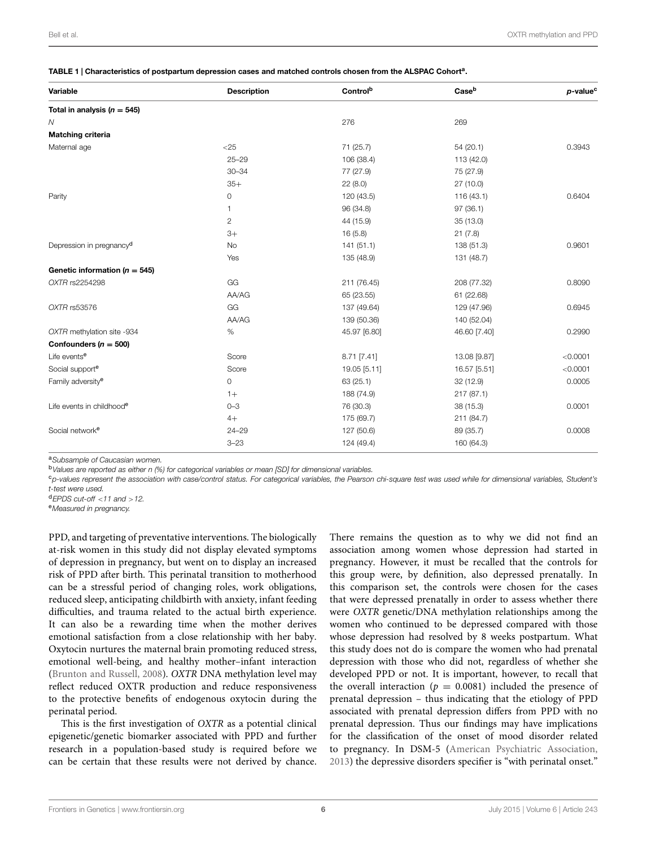<span id="page-5-0"></span>TABLE 1 | Characteristics of postpartum depression cases and matched controls chosen from the ALSPAC Cohort<sup>a</sup>.

| Total in analysis ( $n = 545$ )<br>276<br>269<br>$\mathcal N$<br>Matching criteria<br>$<$ 25<br>Maternal age<br>71 (25.7)<br>54(20.1)<br>$25 - 29$<br>106 (38.4)<br>113 (42.0)<br>$30 - 34$<br>77 (27.9)<br>75 (27.9)<br>$35+$<br>22(8.0)<br>27 (10.0)<br>0<br>Parity<br>120 (43.5)<br>116(43.1)<br>96 (34.8)<br>97(36.1)<br>1<br>$\overline{c}$<br>44 (15.9)<br>35 (13.0)<br>$3+$<br>16(5.8)<br>21(7.8)<br>Depression in pregnancy <sup>d</sup><br>141(51.1)<br>138 (51.3)<br><b>No</b><br>Yes<br>135 (48.9)<br>131 (48.7)<br>Genetic information ( $n = 545$ )<br>GG<br>OXTR rs2254298<br>211 (76.45)<br>208 (77.32)<br>AA/AG<br>65 (23.55)<br>61 (22.68)<br>GG<br>OXTR rs53576<br>137 (49.64)<br>129 (47.96)<br>AA/AG<br>139 (50.36)<br>140 (52.04)<br>OXTR methylation site -934<br>%<br>45.97 [6.80]<br>46.60 [7.40] | 0.3943<br>0.6404 |
|---------------------------------------------------------------------------------------------------------------------------------------------------------------------------------------------------------------------------------------------------------------------------------------------------------------------------------------------------------------------------------------------------------------------------------------------------------------------------------------------------------------------------------------------------------------------------------------------------------------------------------------------------------------------------------------------------------------------------------------------------------------------------------------------------------------------------|------------------|
|                                                                                                                                                                                                                                                                                                                                                                                                                                                                                                                                                                                                                                                                                                                                                                                                                           |                  |
|                                                                                                                                                                                                                                                                                                                                                                                                                                                                                                                                                                                                                                                                                                                                                                                                                           |                  |
|                                                                                                                                                                                                                                                                                                                                                                                                                                                                                                                                                                                                                                                                                                                                                                                                                           |                  |
|                                                                                                                                                                                                                                                                                                                                                                                                                                                                                                                                                                                                                                                                                                                                                                                                                           |                  |
|                                                                                                                                                                                                                                                                                                                                                                                                                                                                                                                                                                                                                                                                                                                                                                                                                           |                  |
|                                                                                                                                                                                                                                                                                                                                                                                                                                                                                                                                                                                                                                                                                                                                                                                                                           |                  |
|                                                                                                                                                                                                                                                                                                                                                                                                                                                                                                                                                                                                                                                                                                                                                                                                                           |                  |
|                                                                                                                                                                                                                                                                                                                                                                                                                                                                                                                                                                                                                                                                                                                                                                                                                           |                  |
|                                                                                                                                                                                                                                                                                                                                                                                                                                                                                                                                                                                                                                                                                                                                                                                                                           |                  |
|                                                                                                                                                                                                                                                                                                                                                                                                                                                                                                                                                                                                                                                                                                                                                                                                                           |                  |
|                                                                                                                                                                                                                                                                                                                                                                                                                                                                                                                                                                                                                                                                                                                                                                                                                           |                  |
|                                                                                                                                                                                                                                                                                                                                                                                                                                                                                                                                                                                                                                                                                                                                                                                                                           | 0.9601           |
|                                                                                                                                                                                                                                                                                                                                                                                                                                                                                                                                                                                                                                                                                                                                                                                                                           |                  |
|                                                                                                                                                                                                                                                                                                                                                                                                                                                                                                                                                                                                                                                                                                                                                                                                                           |                  |
|                                                                                                                                                                                                                                                                                                                                                                                                                                                                                                                                                                                                                                                                                                                                                                                                                           | 0.8090           |
|                                                                                                                                                                                                                                                                                                                                                                                                                                                                                                                                                                                                                                                                                                                                                                                                                           |                  |
|                                                                                                                                                                                                                                                                                                                                                                                                                                                                                                                                                                                                                                                                                                                                                                                                                           | 0.6945           |
|                                                                                                                                                                                                                                                                                                                                                                                                                                                                                                                                                                                                                                                                                                                                                                                                                           |                  |
|                                                                                                                                                                                                                                                                                                                                                                                                                                                                                                                                                                                                                                                                                                                                                                                                                           | 0.2990           |
| Confounders ( $n = 500$ )                                                                                                                                                                                                                                                                                                                                                                                                                                                                                                                                                                                                                                                                                                                                                                                                 |                  |
| Life events <sup>e</sup><br>Score<br>8.71 [7.41]<br>13.08 [9.87]                                                                                                                                                                                                                                                                                                                                                                                                                                                                                                                                                                                                                                                                                                                                                          | < 0.0001         |
| Social support <sup>e</sup><br>Score<br>19.05 [5.11]<br>16.57 [5.51]                                                                                                                                                                                                                                                                                                                                                                                                                                                                                                                                                                                                                                                                                                                                                      | < 0.0001         |
| Family adversity <sup>e</sup><br>$\mathbf{0}$<br>63(25.1)<br>32 (12.9)                                                                                                                                                                                                                                                                                                                                                                                                                                                                                                                                                                                                                                                                                                                                                    | 0.0005           |
| 188 (74.9)<br>217(87.1)<br>$1+$                                                                                                                                                                                                                                                                                                                                                                                                                                                                                                                                                                                                                                                                                                                                                                                           |                  |
| Life events in childhoode<br>$0 - 3$<br>76 (30.3)<br>38 (15.3)                                                                                                                                                                                                                                                                                                                                                                                                                                                                                                                                                                                                                                                                                                                                                            | 0.0001           |
| $4+$<br>175 (69.7)<br>211 (84.7)                                                                                                                                                                                                                                                                                                                                                                                                                                                                                                                                                                                                                                                                                                                                                                                          |                  |
| Social network <sup>e</sup><br>$24 - 29$<br>127 (50.6)<br>89 (35.7)                                                                                                                                                                                                                                                                                                                                                                                                                                                                                                                                                                                                                                                                                                                                                       | 0.0008           |
| $3 - 23$<br>124 (49.4)<br>160 (64.3)                                                                                                                                                                                                                                                                                                                                                                                                                                                                                                                                                                                                                                                                                                                                                                                      |                  |

<sup>a</sup>*Subsample of Caucasian women.*

<sup>b</sup>*Values are reported as either n (%) for categorical variables or mean [SD] for dimensional variables.*

<sup>c</sup>*p-values represent the association with case/control status. For categorical variables, the Pearson chi-square test was used while for dimensional variables, Student's t-test were used.*

<sup>d</sup>*EPDS cut-off <sup>&</sup>lt;11 and <sup>&</sup>gt;12.* <sup>e</sup>*Measured in pregnancy.*

PPD, and targeting of preventative interventions. The biologically at-risk women in this study did not display elevated symptoms of depression in pregnancy, but went on to display an increased risk of PPD after birth. This perinatal transition to motherhood can be a stressful period of changing roles, work obligations, reduced sleep, anticipating childbirth with anxiety, infant feeding difficulties, and trauma related to the actual birth experience. It can also be a rewarding time when the mother derives emotional satisfaction from a close relationship with her baby. Oxytocin nurtures the maternal brain promoting reduced stress, emotional well-being, and healthy mother–infant interaction [\(Brunton and Russell](#page-7-16), [2008](#page-7-16)). *OXTR* DNA methylation level may reflect reduced OXTR production and reduce responsiveness to the protective benefits of endogenous oxytocin during the perinatal period.

This is the first investigation of *OXTR* as a potential clinical epigenetic/genetic biomarker associated with PPD and further research in a population-based study is required before we can be certain that these results were not derived by chance.

There remains the question as to why we did not find an association among women whose depression had started in pregnancy. However, it must be recalled that the controls for this group were, by definition, also depressed prenatally. In this comparison set, the controls were chosen for the cases that were depressed prenatally in order to assess whether there were *OXTR* genetic/DNA methylation relationships among the women who continued to be depressed compared with those whose depression had resolved by 8 weeks postpartum. What this study does not do is compare the women who had prenatal depression with those who did not, regardless of whether she developed PPD or not. It is important, however, to recall that the overall interaction ( $p = 0.0081$ ) included the presence of prenatal depression – thus indicating that the etiology of PPD associated with prenatal depression differs from PPD with no prenatal depression. Thus our findings may have implications for the classification of the onset of mood disorder related to pregnancy. In DSM-5 [\(American Psychiatric Association,](#page-7-17) [2013\)](#page-7-17) the depressive disorders specifier is "with perinatal onset."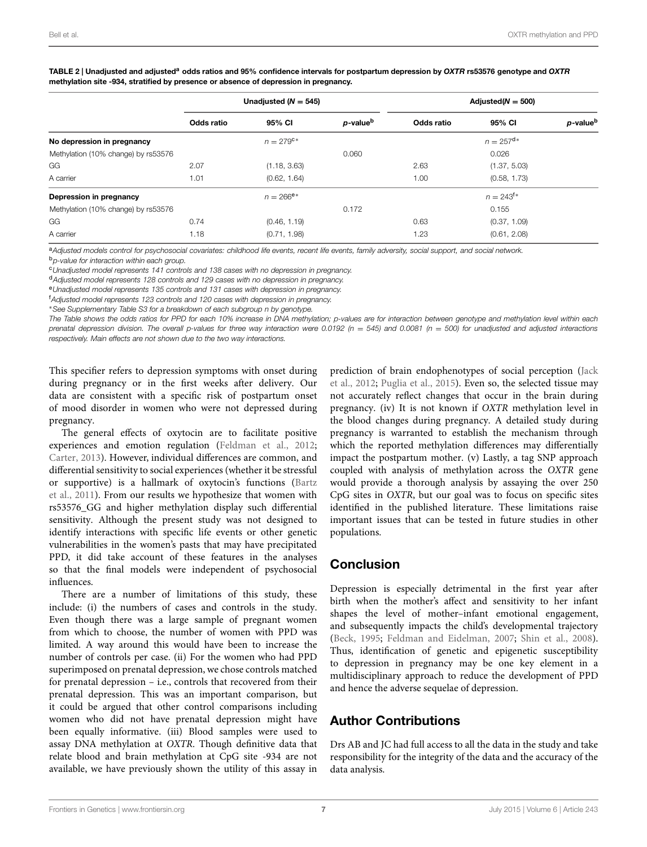|                                     | Unadjusted ( $N = 545$ ) |                         |                      | Adjusted $(N = 500)$ |                         |                      |
|-------------------------------------|--------------------------|-------------------------|----------------------|----------------------|-------------------------|----------------------|
|                                     | Odds ratio               | 95% CI                  | p-value <sup>b</sup> | Odds ratio           | 95% CI                  | p-value <sup>b</sup> |
| No depression in pregnancy          |                          | $n = 279$ <sup>c*</sup> |                      |                      | $n = 257^{\mathsf{d}*}$ |                      |
| Methylation (10% change) by rs53576 |                          |                         | 0.060                |                      | 0.026                   |                      |
| GG                                  | 2.07                     | (1.18, 3.63)            |                      | 2.63                 | (1.37, 5.03)            |                      |
| A carrier                           | 1.01                     | (0.62, 1.64)            |                      | 1.00                 | (0.58, 1.73)            |                      |
| Depression in pregnancy             |                          | $n = 266e^{*}$          |                      |                      | $n = 243^{f*}$          |                      |
| Methylation (10% change) by rs53576 |                          |                         | 0.172                |                      | 0.155                   |                      |
| GG                                  | 0.74                     | (0.46, 1.19)            |                      | 0.63                 | (0.37, 1.09)            |                      |
| A carrier                           | 1.18                     | (0.71, 1.98)            |                      | 1.23                 | (0.61, 2.08)            |                      |

<span id="page-6-0"></span>TABLE 2 | Unadjusted and adjusted<sup>a</sup> odds ratios and 95% confidence intervals for postpartum depression by *OXTR* rs53576 genotype and *OXTR* methylation site -934, stratified by presence or absence of depression in pregnancy.

<sup>a</sup>*Adjusted models control for psychosocial covariates: childhood life events, recent life events, family adversity, social support, and social network.* <sup>b</sup>*p-value for interaction within each group.*

<sup>c</sup>*Unadjusted model represents 141 controls and 138 cases with no depression in pregnancy.*

<sup>d</sup>*Adjusted model represents 128 controls and 129 cases with no depression in pregnancy.*

<sup>e</sup>*Unadjusted model represents 135 controls and 131 cases with depression in pregnancy.*

f *Adjusted model represents 123 controls and 120 cases with depression in pregnancy.*

∗*See Supplementary Table S3 for a breakdown of each subgroup n by genotype.*

*The Table shows the odds ratios for PPD for each 10% increase in DNA methylation; p-values are for interaction between genotype and methylation level within each prenatal depression division. The overall p-values for three way interaction were 0.0192 (n* = *545) and 0.0081 (n* = *500) for unadjusted and adjusted interactions respectively. Main effects are not shown due to the two way interactions.*

This specifier refers to depression symptoms with onset during during pregnancy or in the first weeks after delivery. Our data are consistent with a specific risk of postpartum onset of mood disorder in women who were not depressed during pregnancy.

The general effects of oxytocin are to facilitate positive experiences and emotion regulation [\(Feldman et al.](#page-7-18), [2012;](#page-7-18) [Carter, 2013\)](#page-7-19). However, individual differences are common, and differential sensitivity to social experiences (whether it be stressful or s[upportive\)](#page-7-20) [is](#page-7-20) [a](#page-7-20) [hallmark](#page-7-20) [of](#page-7-20) [oxytocin's](#page-7-20) [functions](#page-7-20) [\(](#page-7-20)Bartz et al., [2011](#page-7-20)). From our results we hypothesize that women with rs53576\_GG and higher methylation display such differential sensitivity. Although the present study was not designed to identify interactions with specific life events or other genetic vulnerabilities in the women's pasts that may have precipitated PPD, it did take account of these features in the analyses so that the final models were independent of psychosocial influences.

There are a number of limitations of this study, these include: (i) the numbers of cases and controls in the study. Even though there was a large sample of pregnant women from which to choose, the number of women with PPD was limited. A way around this would have been to increase the number of controls per case. (ii) For the women who had PPD superimposed on prenatal depression, we chose controls matched for prenatal depression – i.e., controls that recovered from their prenatal depression. This was an important comparison, but it could be argued that other control comparisons including women who did not have prenatal depression might have been equally informative. (iii) Blood samples were used to assay DNA methylation at *OXTR*. Though definitive data that relate blood and brain methylation at CpG site -934 are not available, we have previously shown the utility of this assay in

pred[iction](#page-8-10) [of](#page-8-10) [brain](#page-8-10) [endophenotypes](#page-8-10) [of](#page-8-10) [social](#page-8-10) [perception](#page-8-10) [\(](#page-8-10)Jack et al., [2012;](#page-8-10) [Puglia et al., 2015](#page-8-11)). Even so, the selected tissue may not accurately reflect changes that occur in the brain during pregnancy. (iv) It is not known if *OXTR* methylation level in the blood changes during pregnancy. A detailed study during pregnancy is warranted to establish the mechanism through which the reported methylation differences may differentially impact the postpartum mother. (v) Lastly, a tag SNP approach coupled with analysis of methylation across the *OXTR* gene would provide a thorough analysis by assaying the over 250 CpG sites in *OXTR*, but our goal was to focus on specific sites identified in the published literature. These limitations raise important issues that can be tested in future studies in other populations.

# Conclusion

Depression is especially detrimental in the first year after birth when the mother's affect and sensitivity to her infant shapes the level of mother–infant emotional engagement, and subsequently impacts the child's developmental trajectory [\(Beck](#page-7-21), [1995](#page-7-21); [Feldman and Eidelman, 2007](#page-7-22); [Shin et al., 2008](#page-8-36)). Thus, identification of genetic and epigenetic susceptibility to depression in pregnancy may be one key element in a multidisciplinary approach to reduce the development of PPD and hence the adverse sequelae of depression.

# Author Contributions

Drs AB and JC had full access to all the data in the study and take responsibility for the integrity of the data and the accuracy of the data analysis.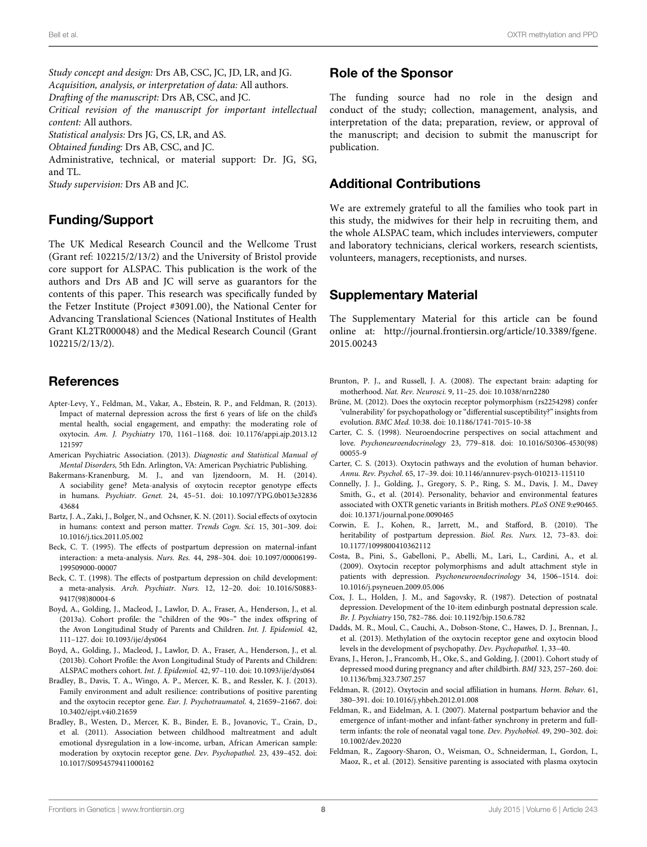*Study concept and design:* Drs AB, CSC, JC, JD, LR, and JG. *Acquisition, analysis, or interpretation of data:* All authors. *Drafting of the manuscript:* Drs AB, CSC, and JC. *Critical revision of the manuscript for important intellectual content:* All authors. *Statistical analysis:* Drs JG, CS, LR, and AS. *Obtained funding:* Drs AB, CSC, and JC.

Administrative, technical, or material support: Dr. JG, SG, and TL.

*Study supervision:* Drs AB and JC.

## Funding/Support

The UK Medical Research Council and the Wellcome Trust (Grant ref: 102215/2/13/2) and the University of Bristol provide core support for ALSPAC. This publication is the work of the authors and Drs AB and JC will serve as guarantors for the contents of this paper. This research was specifically funded by the Fetzer Institute (Project #3091.00), the National Center for Advancing Translational Sciences (National Institutes of Health Grant KL2TR000048) and the Medical Research Council (Grant 102215/2/13/2).

# References

- <span id="page-7-7"></span>Apter-Levy, Y., Feldman, M., Vakar, A., Ebstein, R. P., and Feldman, R. (2013). Impact of maternal depression across the first 6 years of life on the child's mental health, social engagement, and empathy: the moderating role of oxytocin. *Am. J. Psychiatry* 170, 1161–1168. doi: 10.1176/appi.ajp.2013.12 121597
- <span id="page-7-17"></span>American Psychiatric Association. (2013). *Diagnostic and Statistical Manual of Mental Disorders,* 5th Edn. Arlington, VA: American Psychiatric Publishing.
- <span id="page-7-14"></span>Bakermans-Kranenburg, M. J., and van Ijzendoorn, M. H. (2014). A sociability gene? Meta-analysis of oxytocin receptor genotype effects in humans. *Psychiatr. Genet.* 24, 45–51. doi: 10.1097/YPG.0b013e32836 43684
- <span id="page-7-20"></span>Bartz, J. A., Zaki, J., Bolger, N., and Ochsner, K. N. (2011). Social effects of oxytocin in humans: context and person matter. *Trends Cogn. Sci.* 15, 301–309. doi: 10.1016/j.tics.2011.05.002
- <span id="page-7-21"></span>Beck, C. T. (1995). The effects of postpartum depression on maternal-infant interaction: a meta-analysis. *Nurs. Res.* 44, 298–304. doi: 10.1097/00006199- 199509000-00007
- <span id="page-7-0"></span>Beck, C. T. (1998). The effects of postpartum depression on child development: a meta-analysis. *Arch. Psychiatr. Nurs.* 12, 12–20. doi: 10.1016/S0883- 9417(98)80004-6
- <span id="page-7-10"></span>Boyd, A., Golding, J., Macleod, J., Lawlor, D. A., Fraser, A., Henderson, J., et al. (2013a). Cohort profile: the "children of the 90s–" the index offspring of the Avon Longitudinal Study of Parents and Children. *Int. J. Epidemiol.* 42, 111–127. doi: 10.1093/ije/dys064
- <span id="page-7-11"></span>Boyd, A., Golding, J., Macleod, J., Lawlor, D. A., Fraser, A., Henderson, J., et al. (2013b). Cohort Profile: the Avon Longitudinal Study of Parents and Children: ALSPAC mothers cohort. *Int. J. Epidemiol.* 42, 97–110. doi: 10.1093/ije/dys064
- <span id="page-7-9"></span>Bradley, B., Davis, T. A., Wingo, A. P., Mercer, K. B., and Ressler, K. J. (2013). Family environment and adult resilience: contributions of positive parenting and the oxytocin receptor gene. *Eur. J. Psychotraumatol.* 4, 21659–21667. doi: 10.3402/ejpt.v4i0.21659
- <span id="page-7-8"></span>Bradley, B., Westen, D., Mercer, K. B., Binder, E. B., Jovanovic, T., Crain, D., et al. (2011). Association between childhood maltreatment and adult emotional dysregulation in a low-income, urban, African American sample: moderation by oxytocin receptor gene. *Dev. Psychopathol.* 23, 439–452. doi: 10.1017/S0954579411000162

#### Role of the Sponsor

The funding source had no role in the design and conduct of the study; collection, management, analysis, and interpretation of the data; preparation, review, or approval of the manuscript; and decision to submit the manuscript for publication.

#### Additional Contributions

We are extremely grateful to all the families who took part in this study, the midwives for their help in recruiting them, and the whole ALSPAC team, which includes interviewers, computer and laboratory technicians, clerical workers, research scientists, volunteers, managers, receptionists, and nurses.

# Supplementary Material

The Supplementary Material for this article can be found online at: [http://journal](http://journal.frontiersin.org/article/10.3389/fgene.2015.00243)*.*frontiersin*.*org/article/10*.*3389/fgene*.* 2015*.*[00243](http://journal.frontiersin.org/article/10.3389/fgene.2015.00243)

- <span id="page-7-16"></span>Brunton, P. J., and Russell, J. A. (2008). The expectant brain: adapting for motherhood. *Nat. Rev. Neurosci.* 9, 11–25. doi: 10.1038/nrn2280
- <span id="page-7-6"></span>Brüne, M. (2012). Does the oxytocin receptor polymorphism (rs2254298) confer 'vulnerability' for psychopathology or "differential susceptibility?" insights from evolution. *BMC Med.* 10:38. doi: 10.1186/1741-7015-10-38
- <span id="page-7-2"></span>Carter, C. S. (1998). Neuroendocrine perspectives on social attachment and love. *Psychoneuroendocrinology* 23, 779–818. doi: 10.1016/S0306-4530(98) 00055-9
- <span id="page-7-19"></span>Carter, C. S. (2013). Oxytocin pathways and the evolution of human behavior. *Annu. Rev. Psychol.* 65, 17–39. doi: 10.1146/annurev-psych-010213-115110
- <span id="page-7-15"></span>Connelly, J. J., Golding, J., Gregory, S. P., Ring, S. M., Davis, J. M., Davey Smith, G., et al. (2014). Personality, behavior and environmental features associated with OXTR genetic variants in British mothers. *PLoS ONE* 9:e90465. doi: 10.1371/journal.pone.0090465
- <span id="page-7-1"></span>Corwin, E. J., Kohen, R., Jarrett, M., and Stafford, B. (2010). The heritability of postpartum depression. *Biol. Res. Nurs.* 12, 73–83. doi: 10.1177/1099800410362112
- <span id="page-7-5"></span>Costa, B., Pini, S., Gabelloni, P., Abelli, M., Lari, L., Cardini, A., et al. (2009). Oxytocin receptor polymorphisms and adult attachment style in patients with depression. *Psychoneuroendocrinology* 34, 1506–1514. doi: 10.1016/j.psyneuen.2009.05.006
- <span id="page-7-13"></span>Cox, J. L., Holden, J. M., and Sagovsky, R. (1987). Detection of postnatal depression. Development of the 10-item edinburgh postnatal depression scale. *Br. J. Psychiatry* 150, 782–786. doi: 10.1192/bjp.150.6.782
- <span id="page-7-4"></span>Dadds, M. R., Moul, C., Cauchi, A., Dobson-Stone, C., Hawes, D. J., Brennan, J., et al. (2013). Methylation of the oxytocin receptor gene and oxytocin blood levels in the development of psychopathy. *Dev. Psychopathol.* 1, 33–40.
- <span id="page-7-12"></span>Evans, J., Heron, J., Francomb, H., Oke, S., and Golding, J. (2001). Cohort study of depressed mood during pregnancy and after childbirth. *BMJ* 323, 257–260. doi: 10.1136/bmj.323.7307.257
- <span id="page-7-3"></span>Feldman, R. (2012). Oxytocin and social affiliation in humans. *Horm. Behav.* 61, 380–391. doi: 10.1016/j.yhbeh.2012.01.008
- <span id="page-7-22"></span>Feldman, R., and Eidelman, A. I. (2007). Maternal postpartum behavior and the emergence of infant-mother and infant-father synchrony in preterm and fullterm infants: the role of neonatal vagal tone. *Dev. Psychobiol.* 49, 290–302. doi: 10.1002/dev.20220
- <span id="page-7-18"></span>Feldman, R., Zagoory-Sharon, O., Weisman, O., Schneiderman, I., Gordon, I., Maoz, R., et al. (2012). Sensitive parenting is associated with plasma oxytocin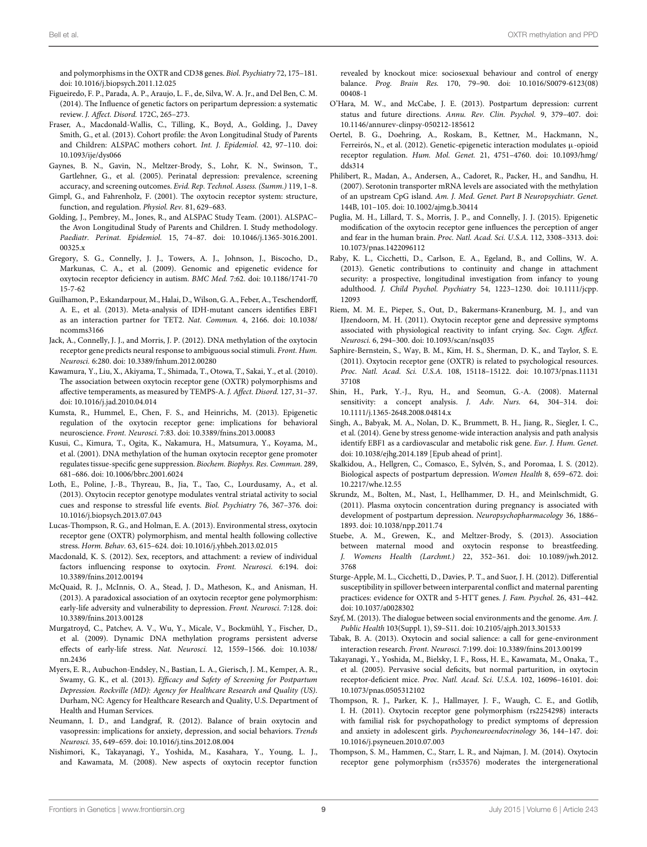and polymorphisms in the OXTR and CD38 genes. *Biol. Psychiatry* 72, 175–181. doi: 10.1016/j.biopsych.2011.12.025

- <span id="page-8-15"></span>Figueiredo, F. P., Parada, A. P., Araujo, L. F., de, Silva, W. A. Jr., and Del Ben, C. M. (2014). The Influence of genetic factors on peripartum depression: a systematic review. *J. Affect. Disord.* 172C, 265–273.
- <span id="page-8-28"></span>Fraser, A., Macdonald-Wallis, C., Tilling, K., Boyd, A., Golding, J., Davey Smith, G., et al. (2013). Cohort profile: the Avon Longitudinal Study of Parents and Children: ALSPAC mothers cohort. *Int. J. Epidemiol.* 42, 97–110. doi: 10.1093/ije/dys066
- <span id="page-8-0"></span>Gaynes, B. N., Gavin, N., Meltzer-Brody, S., Lohr, K. N., Swinson, T., Gartlehner, G., et al. (2005). Perinatal depression: prevalence, screening accuracy, and screening outcomes. *Evid. Rep. Technol. Assess. (Summ.)* 119, 1–8.
- <span id="page-8-6"></span>Gimpl, G., and Fahrenholz, F. (2001). The oxytocin receptor system: structure, function, and regulation. *Physiol. Rev.* 81, 629–683.
- <span id="page-8-29"></span>Golding, J., Pembrey, M., Jones, R., and ALSPAC Study Team. (2001). ALSPAC– the Avon Longitudinal Study of Parents and Children. I. Study methodology. *Paediatr. Perinat. Epidemiol.* 15, 74–87. doi: 10.1046/j.1365-3016.2001. 00325.x
- <span id="page-8-9"></span>Gregory, S. G., Connelly, J. J., Towers, A. J., Johnson, J., Biscocho, D., Markunas, C. A., et al. (2009). Genomic and epigenetic evidence for oxytocin receptor deficiency in autism. *BMC Med.* 7:62. doi: 10.1186/1741-70 15-7-62
- <span id="page-8-32"></span>Guilhamon, P., Eskandarpour, M., Halai, D., Wilson, G. A., Feber, A., Teschendorff, A. E., et al. (2013). Meta-analysis of IDH-mutant cancers identifies EBF1 as an interaction partner for TET2. *Nat. Commun.* 4, 2166. doi: 10.1038/ ncomms3166
- <span id="page-8-10"></span>Jack, A., Connelly, J. J., and Morris, J. P. (2012). DNA methylation of the oxytocin receptor gene predicts neural response to ambiguous social stimuli. *Front. Hum. Neurosci.* 6:280. doi: 10.3389/fnhum.2012.00280
- <span id="page-8-20"></span>Kawamura, Y., Liu, X., Akiyama, T., Shimada, T., Otowa, T., Sakai, Y., et al. (2010). The association between oxytocin receptor gene (OXTR) polymorphisms and affective temperaments, as measured by TEMPS-A. *J. Affect. Disord.* 127, 31–37. doi: 10.1016/j.jad.2010.04.014
- <span id="page-8-8"></span>Kumsta, R., Hummel, E., Chen, F. S., and Heinrichs, M. (2013). Epigenetic regulation of the oxytocin receptor gene: implications for behavioral neuroscience. *Front. Neurosci.* 7:83. doi: 10.3389/fnins.2013.00083
- <span id="page-8-7"></span>Kusui, C., Kimura, T., Ogita, K., Nakamura, H., Matsumura, Y., Koyama, M., et al. (2001). DNA methylation of the human oxytocin receptor gene promoter regulates tissue-specific gene suppression. *Biochem. Biophys. Res. Commun.* 289, 681–686. doi: 10.1006/bbrc.2001.6024
- <span id="page-8-31"></span>Loth, E., Poline, J.-B., Thyreau, B., Jia, T., Tao, C., Lourdusamy, A., et al. (2013). Oxytocin receptor genotype modulates ventral striatal activity to social cues and response to stressful life events. *Biol. Psychiatry* 76, 367–376. doi: 10.1016/j.biopsych.2013.07.043
- <span id="page-8-26"></span>Lucas-Thompson, R. G., and Holman, E. A. (2013). Environmental stress, oxytocin receptor gene (OXTR) polymorphism, and mental health following collective stress. *Horm. Behav.* 63, 615–624. doi: 10.1016/j.yhbeh.2013.02.015
- <span id="page-8-23"></span>Macdonald, K. S. (2012). Sex, receptors, and attachment: a review of individual factors influencing response to oxytocin. *Front. Neurosci.* 6:194. doi: 10.3389/fnins.2012.00194
- <span id="page-8-18"></span>McQuaid, R. J., McInnis, O. A., Stead, J. D., Matheson, K., and Anisman, H. (2013). A paradoxical association of an oxytocin receptor gene polymorphism: early-life adversity and vulnerability to depression. *Front. Neurosci.* 7:128. doi: 10.3389/fnins.2013.00128
- <span id="page-8-2"></span>Murgatroyd, C., Patchev, A. V., Wu, Y., Micale, V., Bockmühl, Y., Fischer, D., et al. (2009). Dynamic DNA methylation programs persistent adverse effects of early-life stress. *Nat. Neurosci.* 12, 1559–1566. doi: 10.1038/ nn.2436
- <span id="page-8-30"></span>Myers, E. R., Aubuchon-Endsley, N., Bastian, L. A., Gierisch, J. M., Kemper, A. R., Swamy, G. K., et al. (2013). *Efficacy and Safety of Screening for Postpartum Depression. Rockville (MD): Agency for Healthcare Research and Quality (US)*. Durham, NC: Agency for Healthcare Research and Quality, U.S. Department of Health and Human Services.
- <span id="page-8-3"></span>Neumann, I. D., and Landgraf, R. (2012). Balance of brain oxytocin and vasopressin: implications for anxiety, depression, and social behaviors. *Trends Neurosci.* 35, 649–659. doi: 10.1016/j.tins.2012.08.004
- <span id="page-8-13"></span>Nishimori, K., Takayanagi, Y., Yoshida, M., Kasahara, Y., Young, L. J., and Kawamata, M. (2008). New aspects of oxytocin receptor function

revealed by knockout mice: sociosexual behaviour and control of energy balance. *Prog. Brain Res.* 170, 79–90. doi: 10.1016/S0079-6123(08) 00408-1

- <span id="page-8-1"></span>O'Hara, M. W., and McCabe, J. E. (2013). Postpartum depression: current status and future directions. *Annu. Rev. Clin. Psychol.* 9, 379–407. doi: 10.1146/annurev-clinpsy-050212-185612
- <span id="page-8-35"></span>Oertel, B. G., Doehring, A., Roskam, B., Kettner, M., Hackmann, N., Ferreirós, N., et al. (2012). Genetic-epigenetic interaction modulates μ-opioid receptor regulation. *Hum. Mol. Genet.* 21, 4751–4760. doi: 10.1093/hmg/ dds314
- <span id="page-8-34"></span>Philibert, R., Madan, A., Andersen, A., Cadoret, R., Packer, H., and Sandhu, H. (2007). Serotonin transporter mRNA levels are associated with the methylation of an upstream CpG island. *Am. J. Med. Genet. Part B Neuropsychiatr. Genet.* 144B, 101–105. doi: 10.1002/ajmg.b.30414
- <span id="page-8-11"></span>Puglia, M. H., Lillard, T. S., Morris, J. P., and Connelly, J. J. (2015). Epigenetic modification of the oxytocin receptor gene influences the perception of anger and fear in the human brain. *Proc. Natl. Acad. Sci. U.S.A.* 112, 3308–3313. doi: 10.1073/pnas.1422096112
- <span id="page-8-27"></span>Raby, K. L., Cicchetti, D., Carlson, E. A., Egeland, B., and Collins, W. A. (2013). Genetic contributions to continuity and change in attachment security: a prospective, longitudinal investigation from infancy to young adulthood. *J. Child Psychol. Psychiatry* 54, 1223–1230. doi: 10.1111/jcpp. 12093
- <span id="page-8-16"></span>Riem, M. M. E., Pieper, S., Out, D., Bakermans-Kranenburg, M. J., and van IJzendoorn, M. H. (2011). Oxytocin receptor gene and depressive symptoms associated with physiological reactivity to infant crying. *Soc. Cogn. Affect. Neurosci.* 6, 294–300. doi: 10.1093/scan/nsq035
- <span id="page-8-17"></span>Saphire-Bernstein, S., Way, B. M., Kim, H. S., Sherman, D. K., and Taylor, S. E. (2011). Oxytocin receptor gene (OXTR) is related to psychological resources. *Proc. Natl. Acad. Sci. U.S.A.* 108, 15118–15122. doi: 10.1073/pnas.11131 37108
- <span id="page-8-36"></span>Shin, H., Park, Y.-J., Ryu, H., and Seomun, G.-A. (2008). Maternal sensitivity: a concept analysis. *J. Adv. Nurs.* 64, 304–314. doi: 10.1111/j.1365-2648.2008.04814.x
- <span id="page-8-33"></span>Singh, A., Babyak, M. A., Nolan, D. K., Brummett, B. H., Jiang, R., Siegler, I. C., et al. (2014). Gene by stress genome-wide interaction analysis and path analysis identify EBF1 as a cardiovascular and metabolic risk gene. *Eur. J. Hum. Genet.* doi: 10.1038/ejhg.2014.189 [Epub ahead of print].
- <span id="page-8-14"></span>Skalkidou, A., Hellgren, C., Comasco, E., Sylvén, S., and Poromaa, I. S. (2012). Biological aspects of postpartum depression. *Women Health* 8, 659–672. doi: 10.2217/whe.12.55
- <span id="page-8-4"></span>Skrundz, M., Bolten, M., Nast, I., Hellhammer, D. H., and Meinlschmidt, G. (2011). Plasma oxytocin concentration during pregnancy is associated with development of postpartum depression. *Neuropsychopharmacology* 36, 1886– 1893. doi: 10.1038/npp.2011.74
- <span id="page-8-5"></span>Stuebe, A. M., Grewen, K., and Meltzer-Brody, S. (2013). Association between maternal mood and oxytocin response to breastfeeding. *J. Womens Health (Larchmt.)* 22, 352–361. doi: 10.1089/jwh.2012. 3768
- <span id="page-8-25"></span>Sturge-Apple, M. L., Cicchetti, D., Davies, P. T., and Suor, J. H. (2012). Differential susceptibility in spillover between interparental conflict and maternal parenting practices: evidence for OXTR and 5-HTT genes. *J. Fam. Psychol.* 26, 431–442. doi: 10.1037/a0028302
- <span id="page-8-24"></span>Szyf, M. (2013). The dialogue between social environments and the genome. *Am. J. Public Health* 103(Suppl. 1), S9–S11. doi: 10.2105/ajph.2013.301533
- <span id="page-8-22"></span>Tabak, B. A. (2013). Oxytocin and social salience: a call for gene-environment interaction research. *Front. Neurosci.* 7:199. doi: 10.3389/fnins.2013.00199
- <span id="page-8-12"></span>Takayanagi, Y., Yoshida, M., Bielsky, I. F., Ross, H. E., Kawamata, M., Onaka, T., et al. (2005). Pervasive social deficits, but normal parturition, in oxytocin receptor-deficient mice. *Proc. Natl. Acad. Sci. U.S.A.* 102, 16096–16101. doi: 10.1073/pnas.0505312102
- <span id="page-8-21"></span>Thompson, R. J., Parker, K. J., Hallmayer, J. F., Waugh, C. E., and Gotlib, I. H. (2011). Oxytocin receptor gene polymorphism (rs2254298) interacts with familial risk for psychopathology to predict symptoms of depression and anxiety in adolescent girls. *Psychoneuroendocrinology* 36, 144–147. doi: 10.1016/j.psyneuen.2010.07.003
- <span id="page-8-19"></span>Thompson, S. M., Hammen, C., Starr, L. R., and Najman, J. M. (2014). Oxytocin receptor gene polymorphism (rs53576) moderates the intergenerational